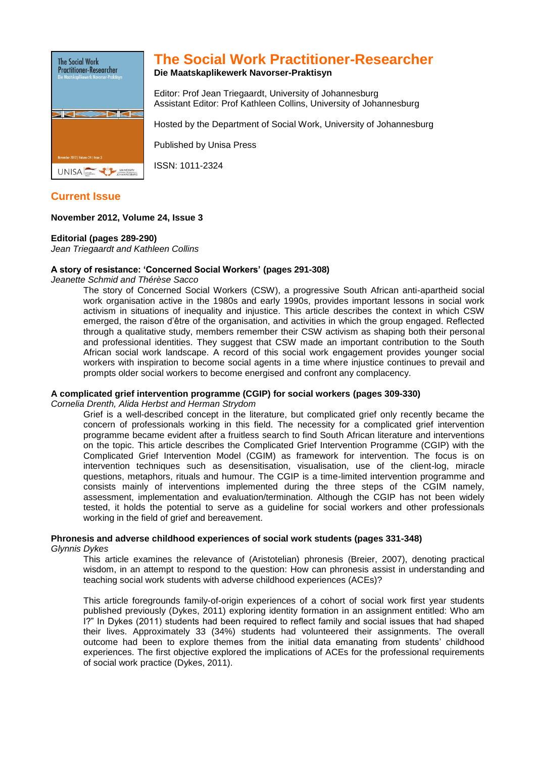

## **The Social Work Practitioner-Researcher**

**Die Maatskaplikewerk Navorser-Praktisyn**

Editor: Prof Jean Triegaardt, University of Johannesburg Assistant Editor: Prof Kathleen Collins, University of Johannesburg

Hosted by the Department of Social Work, University of Johannesburg

Published by Unisa Press

ISSN: 1011-2324

**Current Issue**

## **November 2012, Volume 24, Issue 3**

### **Editorial (pages 289-290)**

*Jean Triegaardt and Kathleen Collins*

## **A story of resistance: 'Concerned Social Workers' (pages 291-308)**

*Jeanette Schmid and Thérèse Sacco*

The story of Concerned Social Workers (CSW), a progressive South African anti-apartheid social work organisation active in the 1980s and early 1990s, provides important lessons in social work activism in situations of inequality and injustice. This article describes the context in which CSW emerged, the raison d'être of the organisation, and activities in which the group engaged. Reflected through a qualitative study, members remember their CSW activism as shaping both their personal and professional identities. They suggest that CSW made an important contribution to the South African social work landscape. A record of this social work engagement provides younger social workers with inspiration to become social agents in a time where injustice continues to prevail and prompts older social workers to become energised and confront any complacency.

## **A complicated grief intervention programme (CGIP) for social workers (pages 309-330)**

*Cornelia Drenth, Alida Herbst and Herman Strydom*

Grief is a well-described concept in the literature, but complicated grief only recently became the concern of professionals working in this field. The necessity for a complicated grief intervention programme became evident after a fruitless search to find South African literature and interventions on the topic. This article describes the Complicated Grief Intervention Programme (CGIP) with the Complicated Grief Intervention Model (CGIM) as framework for intervention. The focus is on intervention techniques such as desensitisation, visualisation, use of the client-log, miracle questions, metaphors, rituals and humour. The CGIP is a time-limited intervention programme and consists mainly of interventions implemented during the three steps of the CGIM namely, assessment, implementation and evaluation/termination. Although the CGIP has not been widely tested, it holds the potential to serve as a guideline for social workers and other professionals working in the field of grief and bereavement.

# **Phronesis and adverse childhood experiences of social work students (pages 331-348)**

*Glynnis Dykes*

This article examines the relevance of (Aristotelian) phronesis (Breier, 2007), denoting practical wisdom, in an attempt to respond to the question: How can phronesis assist in understanding and teaching social work students with adverse childhood experiences (ACEs)?

This article foregrounds family-of-origin experiences of a cohort of social work first year students published previously (Dykes, 2011) exploring identity formation in an assignment entitled: Who am I?" In Dykes (2011) students had been required to reflect family and social issues that had shaped their lives. Approximately 33 (34%) students had volunteered their assignments. The overall outcome had been to explore themes from the initial data emanating from students' childhood experiences. The first objective explored the implications of ACEs for the professional requirements of social work practice (Dykes, 2011).